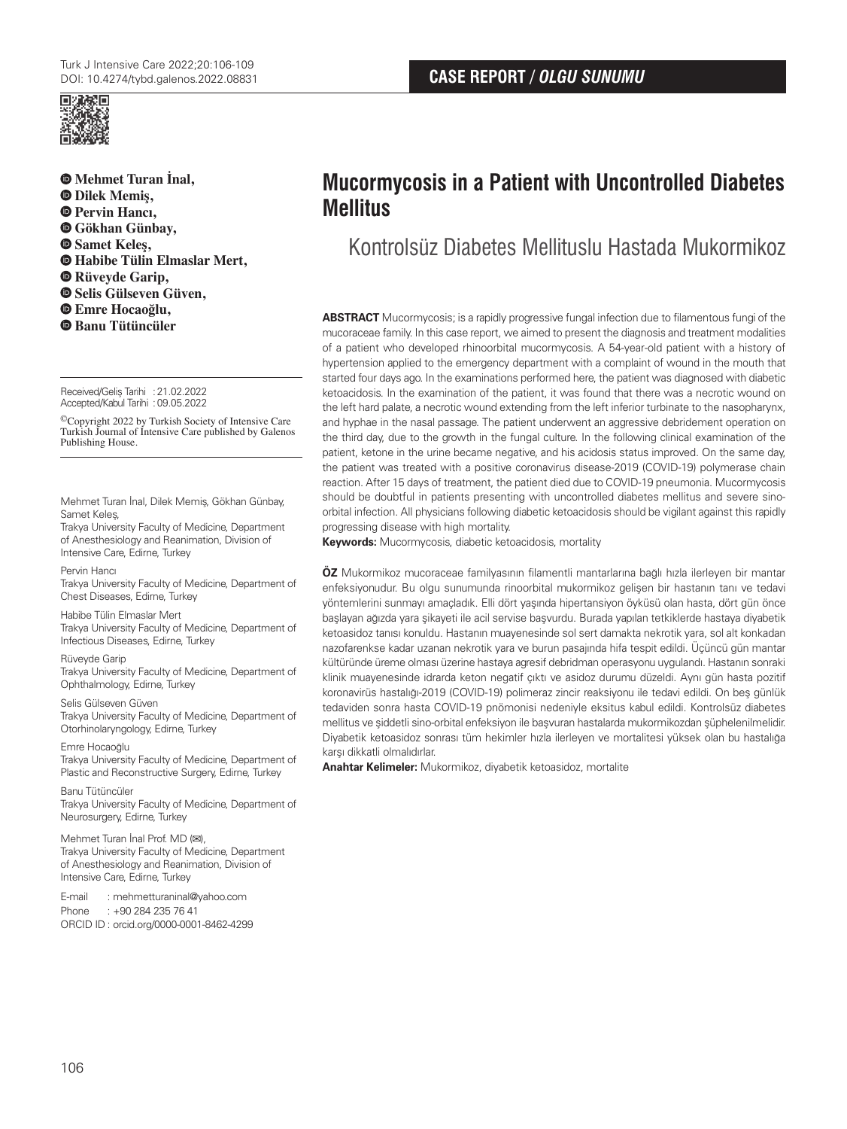



**Mehmet Turan İnal, Dilek Memiş, Pervin Hancı, Gökhan Günbay, Samet Keleş, Habibe Tülin Elmaslar Mert, Rüveyde Garip, Selis Gülseven Güven, Emre Hocaoğlu, Banu Tütüncüler**

Received/Geliş Tarihi :21.02.2022 Accepted/Kabul Tarihi :09.05.2022

©Copyright 2022 by Turkish Society of Intensive Care Turkish Journal of Intensive Care published by Galenos Publishing House.

Mehmet Turan İnal, Dilek Memiş, Gökhan Günbay, Samet Keleş,

Trakya University Faculty of Medicine, Department of Anesthesiology and Reanimation, Division of Intensive Care, Edirne, Turkey

#### Pervin Hancı

Trakya University Faculty of Medicine, Department of Chest Diseases, Edirne, Turkey

#### Habibe Tülin Elmaslar Mert

Trakya University Faculty of Medicine, Department of Infectious Diseases, Edirne, Turkey

#### Rüveyde Garip

Trakya University Faculty of Medicine, Department of Ophthalmology, Edirne, Turkey

Selis Gülseven Güven Trakya University Faculty of Medicine, Department of Otorhinolaryngology, Edirne, Turkey

Emre Hocaoğlu Trakya University Faculty of Medicine, Department of Plastic and Reconstructive Surgery, Edirne, Turkey

Banu Tütüncüler

Trakya University Faculty of Medicine, Department of Neurosurgery, Edirne, Turkey

Mehmet Turan İnal Prof. MD (**✉**), Trakya University Faculty of Medicine, Department of Anesthesiology and Reanimation, Division of Intensive Care, Edirne, Turkey

E-mail : mehmetturaninal@yahoo.com

Phone : +90 284 235 76 41 ORCID ID : orcid.org/0000-0001-8462-4299

# **Mucormycosis in a Patient with Uncontrolled Diabetes Mellitus**

Kontrolsüz Diabetes Mellituslu Hastada Mukormikoz

**ABSTRACT** Mucormycosis; is a rapidly progressive fungal infection due to filamentous fungi of the mucoraceae family. In this case report, we aimed to present the diagnosis and treatment modalities of a patient who developed rhinoorbital mucormycosis. A 54-year-old patient with a history of hypertension applied to the emergency department with a complaint of wound in the mouth that started four days ago. In the examinations performed here, the patient was diagnosed with diabetic ketoacidosis. In the examination of the patient, it was found that there was a necrotic wound on the left hard palate, a necrotic wound extending from the left inferior turbinate to the nasopharynx, and hyphae in the nasal passage. The patient underwent an aggressive debridement operation on the third day, due to the growth in the fungal culture. In the following clinical examination of the patient, ketone in the urine became negative, and his acidosis status improved. On the same day, the patient was treated with a positive coronavirus disease-2019 (COVID-19) polymerase chain reaction. After 15 days of treatment, the patient died due to COVID-19 pneumonia. Mucormycosis should be doubtful in patients presenting with uncontrolled diabetes mellitus and severe sinoorbital infection. All physicians following diabetic ketoacidosis should be vigilant against this rapidly progressing disease with high mortality.

**Keywords:** Mucormycosis, diabetic ketoacidosis, mortality

**ÖZ** Mukormikoz mucoraceae familyasının filamentli mantarlarına bağlı hızla ilerleyen bir mantar enfeksiyonudur. Bu olgu sunumunda rinoorbital mukormikoz gelişen bir hastanın tanı ve tedavi yöntemlerini sunmayı amaçladık. Elli dört yaşında hipertansiyon öyküsü olan hasta, dört gün önce başlayan ağızda yara şikayeti ile acil servise başvurdu. Burada yapılan tetkiklerde hastaya diyabetik ketoasidoz tanısı konuldu. Hastanın muayenesinde sol sert damakta nekrotik yara, sol alt konkadan nazofarenkse kadar uzanan nekrotik yara ve burun pasajında hifa tespit edildi. Üçüncü gün mantar kültüründe üreme olması üzerine hastaya agresif debridman operasyonu uygulandı. Hastanın sonraki klinik muayenesinde idrarda keton negatif çıktı ve asidoz durumu düzeldi. Aynı gün hasta pozitif koronavirüs hastalığı-2019 (COVID-19) polimeraz zincir reaksiyonu ile tedavi edildi. On beş günlük tedaviden sonra hasta COVID-19 pnömonisi nedeniyle eksitus kabul edildi. Kontrolsüz diabetes mellitus ve şiddetli sino-orbital enfeksiyon ile başvuran hastalarda mukormikozdan şüphelenilmelidir. Diyabetik ketoasidoz sonrası tüm hekimler hızla ilerleyen ve mortalitesi yüksek olan bu hastalığa karşı dikkatli olmalıdırlar.

**Anahtar Kelimeler:** Mukormikoz, diyabetik ketoasidoz, mortalite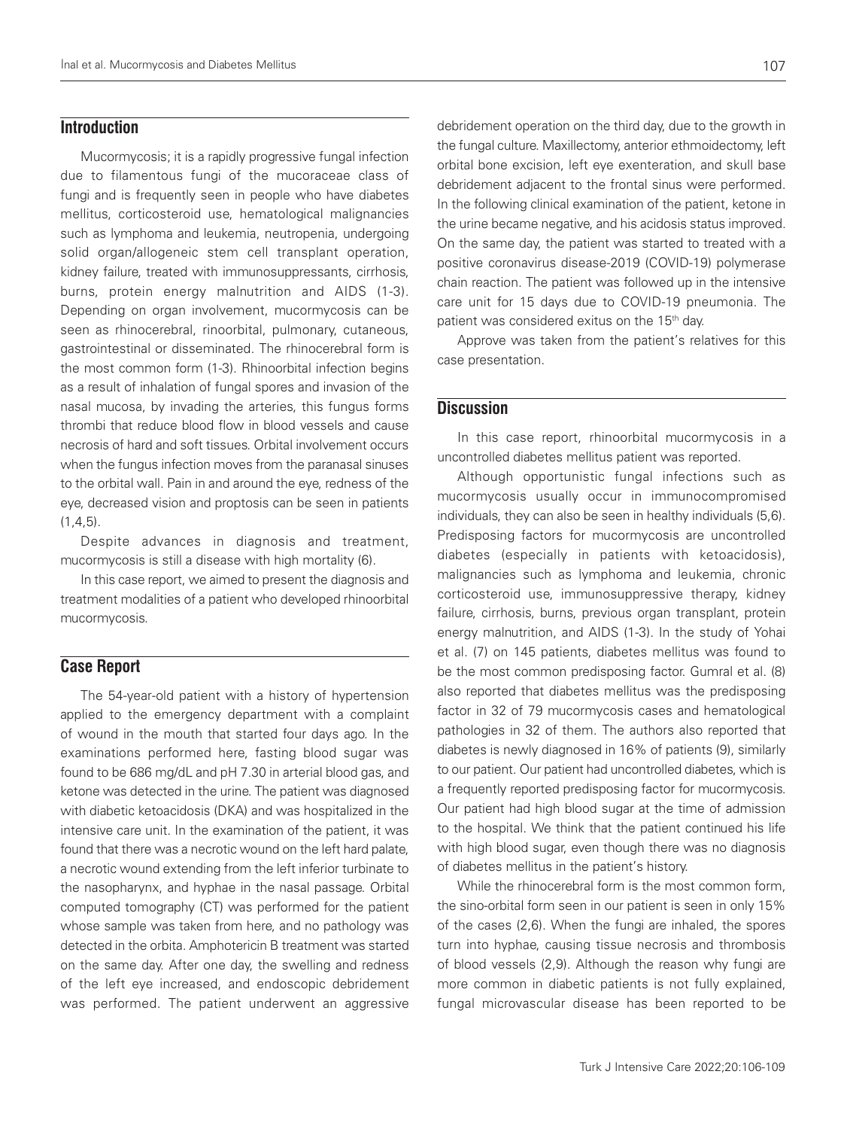## **Introduction**

Mucormycosis; it is a rapidly progressive fungal infection due to filamentous fungi of the mucoraceae class of fungi and is frequently seen in people who have diabetes mellitus, corticosteroid use, hematological malignancies such as lymphoma and leukemia, neutropenia, undergoing solid organ/allogeneic stem cell transplant operation, kidney failure, treated with immunosuppressants, cirrhosis, burns, protein energy malnutrition and AIDS (1-3). Depending on organ involvement, mucormycosis can be seen as rhinocerebral, rinoorbital, pulmonary, cutaneous, gastrointestinal or disseminated. The rhinocerebral form is the most common form (1-3). Rhinoorbital infection begins as a result of inhalation of fungal spores and invasion of the nasal mucosa, by invading the arteries, this fungus forms thrombi that reduce blood flow in blood vessels and cause necrosis of hard and soft tissues. Orbital involvement occurs when the fungus infection moves from the paranasal sinuses to the orbital wall. Pain in and around the eye, redness of the eye, decreased vision and proptosis can be seen in patients  $(1,4,5)$ .

Despite advances in diagnosis and treatment, mucormycosis is still a disease with high mortality (6).

In this case report, we aimed to present the diagnosis and treatment modalities of a patient who developed rhinoorbital mucormycosis.

## **Case Report**

The 54-year-old patient with a history of hypertension applied to the emergency department with a complaint of wound in the mouth that started four days ago. In the examinations performed here, fasting blood sugar was found to be 686 mg/dL and pH 7.30 in arterial blood gas, and ketone was detected in the urine. The patient was diagnosed with diabetic ketoacidosis (DKA) and was hospitalized in the intensive care unit. In the examination of the patient, it was found that there was a necrotic wound on the left hard palate, a necrotic wound extending from the left inferior turbinate to the nasopharynx, and hyphae in the nasal passage. Orbital computed tomography (CT) was performed for the patient whose sample was taken from here, and no pathology was detected in the orbita. Amphotericin B treatment was started on the same day. After one day, the swelling and redness of the left eye increased, and endoscopic debridement was performed. The patient underwent an aggressive

debridement operation on the third day, due to the growth in the fungal culture. Maxillectomy, anterior ethmoidectomy, left orbital bone excision, left eye exenteration, and skull base debridement adjacent to the frontal sinus were performed. In the following clinical examination of the patient, ketone in the urine became negative, and his acidosis status improved. On the same day, the patient was started to treated with a positive coronavirus disease-2019 (COVID-19) polymerase chain reaction. The patient was followed up in the intensive care unit for 15 days due to COVID-19 pneumonia. The patient was considered exitus on the 15<sup>th</sup> day.

Approve was taken from the patient's relatives for this case presentation.

## **Discussion**

In this case report, rhinoorbital mucormycosis in a uncontrolled diabetes mellitus patient was reported.

Although opportunistic fungal infections such as mucormycosis usually occur in immunocompromised individuals, they can also be seen in healthy individuals (5,6). Predisposing factors for mucormycosis are uncontrolled diabetes (especially in patients with ketoacidosis), malignancies such as lymphoma and leukemia, chronic corticosteroid use, immunosuppressive therapy, kidney failure, cirrhosis, burns, previous organ transplant, protein energy malnutrition, and AIDS (1-3). In the study of Yohai et al. (7) on 145 patients, diabetes mellitus was found to be the most common predisposing factor. Gumral et al. (8) also reported that diabetes mellitus was the predisposing factor in 32 of 79 mucormycosis cases and hematological pathologies in 32 of them. The authors also reported that diabetes is newly diagnosed in 16% of patients (9), similarly to our patient. Our patient had uncontrolled diabetes, which is a frequently reported predisposing factor for mucormycosis. Our patient had high blood sugar at the time of admission to the hospital. We think that the patient continued his life with high blood sugar, even though there was no diagnosis of diabetes mellitus in the patient's history.

While the rhinocerebral form is the most common form, the sino-orbital form seen in our patient is seen in only 15% of the cases (2,6). When the fungi are inhaled, the spores turn into hyphae, causing tissue necrosis and thrombosis of blood vessels (2,9). Although the reason why fungi are more common in diabetic patients is not fully explained, fungal microvascular disease has been reported to be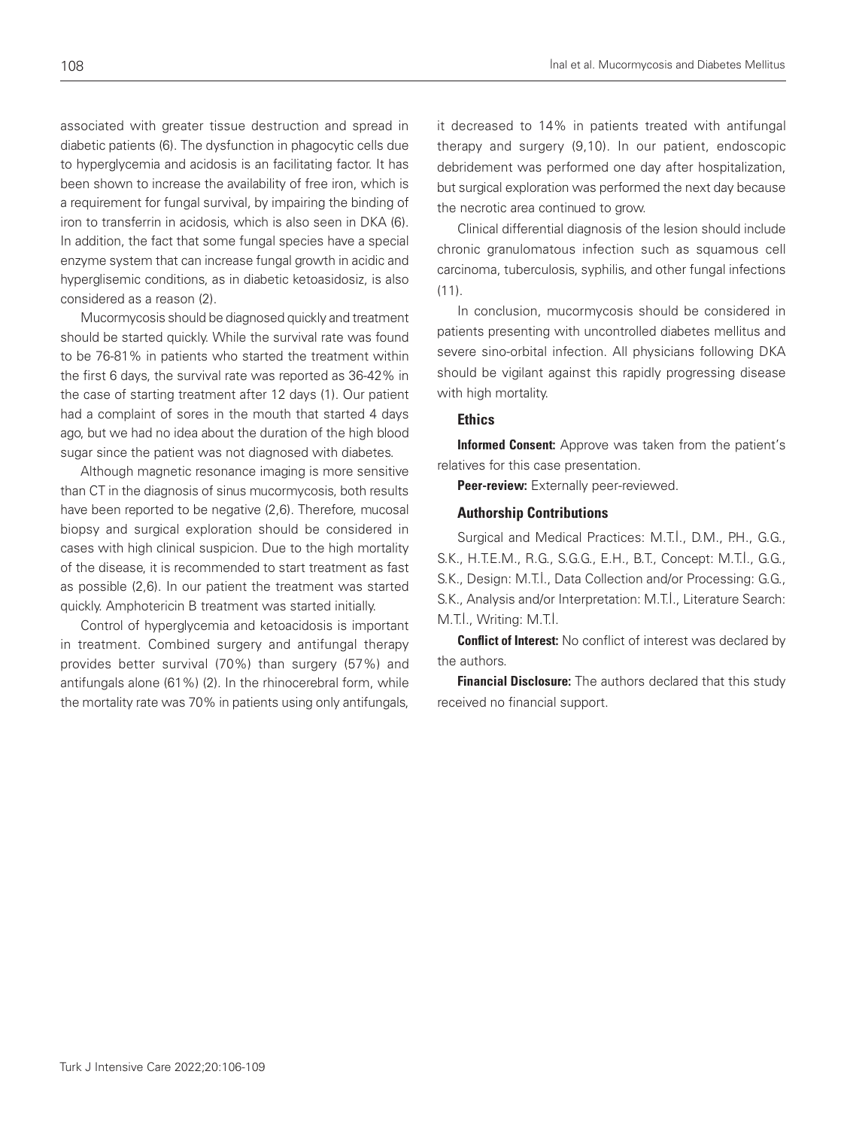associated with greater tissue destruction and spread in diabetic patients (6). The dysfunction in phagocytic cells due to hyperglycemia and acidosis is an facilitating factor. It has been shown to increase the availability of free iron, which is a requirement for fungal survival, by impairing the binding of iron to transferrin in acidosis, which is also seen in DKA (6). In addition, the fact that some fungal species have a special enzyme system that can increase fungal growth in acidic and hyperglisemic conditions, as in diabetic ketoasidosiz, is also considered as a reason (2).

Mucormycosis should be diagnosed quickly and treatment should be started quickly. While the survival rate was found to be 76-81% in patients who started the treatment within the first 6 days, the survival rate was reported as 36-42% in the case of starting treatment after 12 days (1). Our patient had a complaint of sores in the mouth that started 4 days ago, but we had no idea about the duration of the high blood sugar since the patient was not diagnosed with diabetes.

Although magnetic resonance imaging is more sensitive than CT in the diagnosis of sinus mucormycosis, both results have been reported to be negative (2,6). Therefore, mucosal biopsy and surgical exploration should be considered in cases with high clinical suspicion. Due to the high mortality of the disease, it is recommended to start treatment as fast as possible (2,6). In our patient the treatment was started quickly. Amphotericin B treatment was started initially.

Control of hyperglycemia and ketoacidosis is important in treatment. Combined surgery and antifungal therapy provides better survival (70%) than surgery (57%) and antifungals alone (61%) (2). In the rhinocerebral form, while the mortality rate was 70% in patients using only antifungals,

it decreased to 14% in patients treated with antifungal therapy and surgery (9,10). In our patient, endoscopic debridement was performed one day after hospitalization, but surgical exploration was performed the next day because the necrotic area continued to grow.

Clinical differential diagnosis of the lesion should include chronic granulomatous infection such as squamous cell carcinoma, tuberculosis, syphilis, and other fungal infections  $(11)$ .

In conclusion, mucormycosis should be considered in patients presenting with uncontrolled diabetes mellitus and severe sino-orbital infection. All physicians following DKA should be vigilant against this rapidly progressing disease with high mortality.

### Ethics

Informed Consent: Approve was taken from the patient's relatives for this case presentation.

Peer-review: Externally peer-reviewed.

## Authorship Contributions

Surgical and Medical Practices: M.T.I., D.M., P.H., G.G., S.K., H.T.E.M., R.G., S.G.G., E.H., B.T., Concept: M.T.İ., G.G., S.K., Design: M.T.İ., Data Collection and/or Processing: G.G., S.K., Analysis and/or Interpretation: M.T.İ., Literature Search: M.T.İ., Writing: M.T.İ.

**Conflict of Interest:** No conflict of interest was declared by the authors.

**Financial Disclosure:** The authors declared that this study received no financial support.